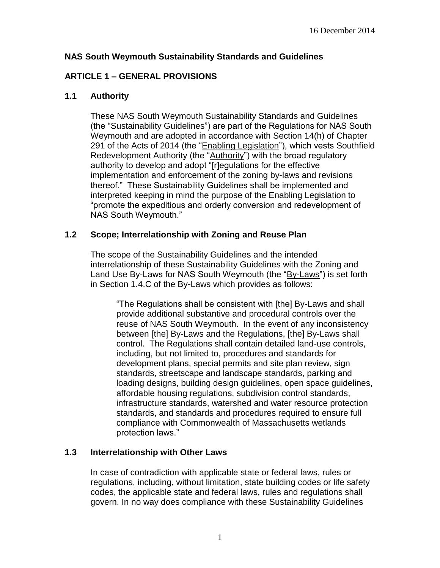### **NAS South Weymouth Sustainability Standards and Guidelines**

## **ARTICLE 1 – GENERAL PROVISIONS**

### **1.1 Authority**

These NAS South Weymouth Sustainability Standards and Guidelines (the "Sustainability Guidelines") are part of the Regulations for NAS South Weymouth and are adopted in accordance with Section 14(h) of Chapter 291 of the Acts of 2014 (the "Enabling Legislation"), which vests Southfield Redevelopment Authority (the "Authority") with the broad regulatory authority to develop and adopt "[r]egulations for the effective implementation and enforcement of the zoning by-laws and revisions thereof." These Sustainability Guidelines shall be implemented and interpreted keeping in mind the purpose of the Enabling Legislation to "promote the expeditious and orderly conversion and redevelopment of NAS South Weymouth."

### **1.2 Scope; Interrelationship with Zoning and Reuse Plan**

The scope of the Sustainability Guidelines and the intended interrelationship of these Sustainability Guidelines with the Zoning and Land Use By-Laws for NAS South Weymouth (the "By-Laws") is set forth in Section 1.4.C of the By-Laws which provides as follows:

"The Regulations shall be consistent with [the] By-Laws and shall provide additional substantive and procedural controls over the reuse of NAS South Weymouth. In the event of any inconsistency between [the] By-Laws and the Regulations, [the] By-Laws shall control. The Regulations shall contain detailed land-use controls, including, but not limited to, procedures and standards for development plans, special permits and site plan review, sign standards, streetscape and landscape standards, parking and loading designs, building design guidelines, open space guidelines, affordable housing regulations, subdivision control standards, infrastructure standards, watershed and water resource protection standards, and standards and procedures required to ensure full compliance with Commonwealth of Massachusetts wetlands protection laws."

### **1.3 Interrelationship with Other Laws**

In case of contradiction with applicable state or federal laws, rules or regulations, including, without limitation, state building codes or life safety codes, the applicable state and federal laws, rules and regulations shall govern. In no way does compliance with these Sustainability Guidelines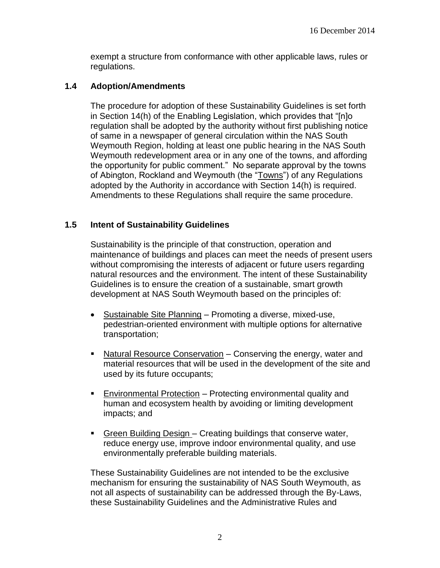exempt a structure from conformance with other applicable laws, rules or regulations.

#### **1.4 Adoption/Amendments**

The procedure for adoption of these Sustainability Guidelines is set forth in Section 14(h) of the Enabling Legislation, which provides that "[n]o regulation shall be adopted by the authority without first publishing notice of same in a newspaper of general circulation within the NAS South Weymouth Region, holding at least one public hearing in the NAS South Weymouth redevelopment area or in any one of the towns, and affording the opportunity for public comment." No separate approval by the towns of Abington, Rockland and Weymouth (the "Towns") of any Regulations adopted by the Authority in accordance with Section 14(h) is required. Amendments to these Regulations shall require the same procedure.

### **1.5 Intent of Sustainability Guidelines**

Sustainability is the principle of that construction, operation and maintenance of buildings and places can meet the needs of present users without compromising the interests of adjacent or future users regarding natural resources and the environment. The intent of these Sustainability Guidelines is to ensure the creation of a sustainable, smart growth development at NAS South Weymouth based on the principles of:

- Sustainable Site Planning Promoting a diverse, mixed-use, pedestrian-oriented environment with multiple options for alternative transportation;
- Natural Resource Conservation Conserving the energy, water and material resources that will be used in the development of the site and used by its future occupants;
- Environmental Protection Protecting environmental quality and human and ecosystem health by avoiding or limiting development impacts; and
- Green Building Design Creating buildings that conserve water, reduce energy use, improve indoor environmental quality, and use environmentally preferable building materials.

These Sustainability Guidelines are not intended to be the exclusive mechanism for ensuring the sustainability of NAS South Weymouth, as not all aspects of sustainability can be addressed through the By-Laws, these Sustainability Guidelines and the Administrative Rules and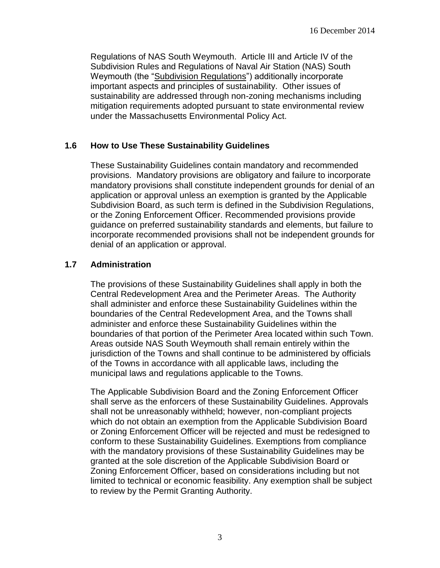Regulations of NAS South Weymouth. Article III and Article IV of the Subdivision Rules and Regulations of Naval Air Station (NAS) South Weymouth (the "Subdivision Regulations") additionally incorporate important aspects and principles of sustainability. Other issues of sustainability are addressed through non-zoning mechanisms including mitigation requirements adopted pursuant to state environmental review under the Massachusetts Environmental Policy Act.

### **1.6 How to Use These Sustainability Guidelines**

These Sustainability Guidelines contain mandatory and recommended provisions. Mandatory provisions are obligatory and failure to incorporate mandatory provisions shall constitute independent grounds for denial of an application or approval unless an exemption is granted by the Applicable Subdivision Board, as such term is defined in the Subdivision Regulations, or the Zoning Enforcement Officer. Recommended provisions provide guidance on preferred sustainability standards and elements, but failure to incorporate recommended provisions shall not be independent grounds for denial of an application or approval.

### **1.7 Administration**

The provisions of these Sustainability Guidelines shall apply in both the Central Redevelopment Area and the Perimeter Areas. The Authority shall administer and enforce these Sustainability Guidelines within the boundaries of the Central Redevelopment Area, and the Towns shall administer and enforce these Sustainability Guidelines within the boundaries of that portion of the Perimeter Area located within such Town. Areas outside NAS South Weymouth shall remain entirely within the jurisdiction of the Towns and shall continue to be administered by officials of the Towns in accordance with all applicable laws, including the municipal laws and regulations applicable to the Towns.

The Applicable Subdivision Board and the Zoning Enforcement Officer shall serve as the enforcers of these Sustainability Guidelines. Approvals shall not be unreasonably withheld; however, non-compliant projects which do not obtain an exemption from the Applicable Subdivision Board or Zoning Enforcement Officer will be rejected and must be redesigned to conform to these Sustainability Guidelines. Exemptions from compliance with the mandatory provisions of these Sustainability Guidelines may be granted at the sole discretion of the Applicable Subdivision Board or Zoning Enforcement Officer, based on considerations including but not limited to technical or economic feasibility. Any exemption shall be subject to review by the Permit Granting Authority.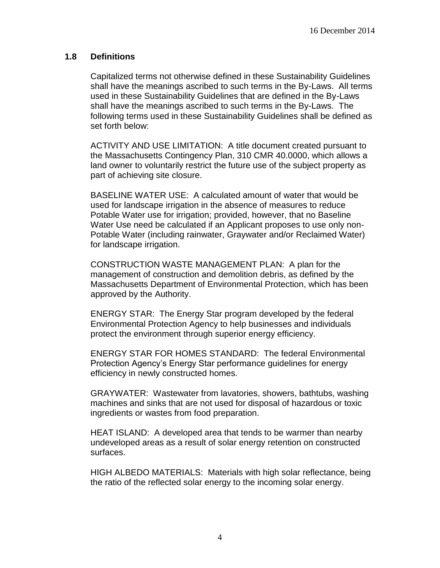#### **1.8 Definitions**

Capitalized terms not otherwise defined in these Sustainability Guidelines shall have the meanings ascribed to such terms in the By-Laws. All terms used in these Sustainability Guidelines that are defined in the By-Laws shall have the meanings ascribed to such terms in the By-Laws. The following terms used in these Sustainability Guidelines shall be defined as set forth below:

ACTIVITY AND USE LIMITATION: A title document created pursuant to the Massachusetts Contingency Plan, 310 CMR 40.0000, which allows a land owner to voluntarily restrict the future use of the subject property as part of achieving site closure.

BASELINE WATER USE: A calculated amount of water that would be used for landscape irrigation in the absence of measures to reduce Potable Water use for irrigation; provided, however, that no Baseline Water Use need be calculated if an Applicant proposes to use only non-Potable Water (including rainwater, Graywater and/or Reclaimed Water) for landscape irrigation.

CONSTRUCTION WASTE MANAGEMENT PLAN: A plan for the management of construction and demolition debris, as defined by the Massachusetts Department of Environmental Protection, which has been approved by the Authority.

ENERGY STAR: The Energy Star program developed by the federal Environmental Protection Agency to help businesses and individuals protect the environment through superior energy efficiency.

ENERGY STAR FOR HOMES STANDARD: The federal Environmental Protection Agency's Energy Star performance guidelines for energy efficiency in newly constructed homes.

GRAYWATER: Wastewater from lavatories, showers, bathtubs, washing machines and sinks that are not used for disposal of hazardous or toxic ingredients or wastes from food preparation.

HEAT ISLAND: A developed area that tends to be warmer than nearby undeveloped areas as a result of solar energy retention on constructed surfaces.

HIGH ALBEDO MATERIALS: Materials with high solar reflectance, being the ratio of the reflected solar energy to the incoming solar energy.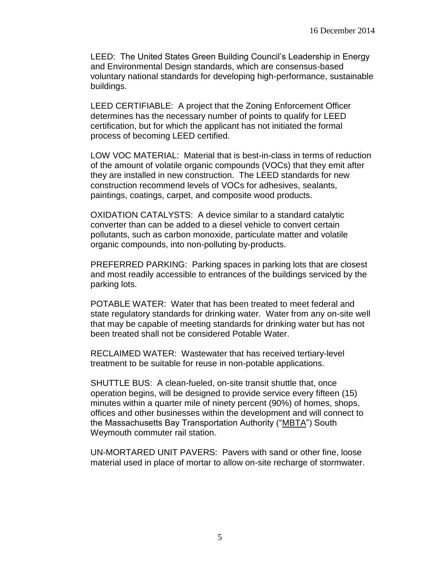LEED: The United States Green Building Council's Leadership in Energy and Environmental Design standards, which are consensus-based voluntary national standards for developing high-performance, sustainable buildings.

LEED CERTIFIABLE: A project that the Zoning Enforcement Officer determines has the necessary number of points to qualify for LEED certification, but for which the applicant has not initiated the formal process of becoming LEED certified.

LOW VOC MATERIAL: Material that is best-in-class in terms of reduction of the amount of volatile organic compounds (VOCs) that they emit after they are installed in new construction. The LEED standards for new construction recommend levels of VOCs for adhesives, sealants, paintings, coatings, carpet, and composite wood products.

OXIDATION CATALYSTS: A device similar to a standard catalytic converter than can be added to a diesel vehicle to convert certain pollutants, such as carbon monoxide, particulate matter and volatile organic compounds, into non-polluting by-products.

PREFERRED PARKING: Parking spaces in parking lots that are closest and most readily accessible to entrances of the buildings serviced by the parking lots.

POTABLE WATER: Water that has been treated to meet federal and state regulatory standards for drinking water. Water from any on-site well that may be capable of meeting standards for drinking water but has not been treated shall not be considered Potable Water.

RECLAIMED WATER: Wastewater that has received tertiary-level treatment to be suitable for reuse in non-potable applications.

SHUTTLE BUS: A clean-fueled, on-site transit shuttle that, once operation begins, will be designed to provide service every fifteen (15) minutes within a quarter mile of ninety percent (90%) of homes, shops, offices and other businesses within the development and will connect to the Massachusetts Bay Transportation Authority ("MBTA") South Weymouth commuter rail station.

UN-MORTARED UNIT PAVERS: Pavers with sand or other fine, loose material used in place of mortar to allow on-site recharge of stormwater.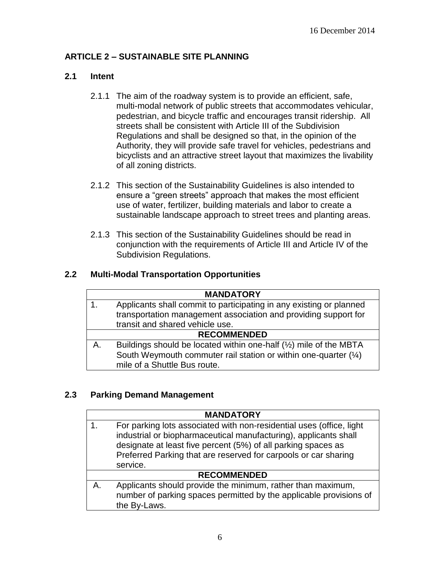# **ARTICLE 2 – SUSTAINABLE SITE PLANNING**

## **2.1 Intent**

- 2.1.1 The aim of the roadway system is to provide an efficient, safe, multi-modal network of public streets that accommodates vehicular, pedestrian, and bicycle traffic and encourages transit ridership. All streets shall be consistent with Article III of the Subdivision Regulations and shall be designed so that, in the opinion of the Authority, they will provide safe travel for vehicles, pedestrians and bicyclists and an attractive street layout that maximizes the livability of all zoning districts.
- 2.1.2 This section of the Sustainability Guidelines is also intended to ensure a "green streets" approach that makes the most efficient use of water, fertilizer, building materials and labor to create a sustainable landscape approach to street trees and planting areas.
- 2.1.3 This section of the Sustainability Guidelines should be read in conjunction with the requirements of Article III and Article IV of the Subdivision Regulations.

## **2.2 Multi-Modal Transportation Opportunities**

|                    | <b>MANDATORY</b>                                                                                                                                                                           |
|--------------------|--------------------------------------------------------------------------------------------------------------------------------------------------------------------------------------------|
|                    | Applicants shall commit to participating in any existing or planned<br>transportation management association and providing support for<br>transit and shared vehicle use.                  |
| <b>RECOMMENDED</b> |                                                                                                                                                                                            |
| A.                 | Buildings should be located within one-half $(\frac{1}{2})$ mile of the MBTA<br>South Weymouth commuter rail station or within one-quarter $(\frac{1}{4})$<br>mile of a Shuttle Bus route. |

### **2.3 Parking Demand Management**

|    | <b>MANDATORY</b>                                                                                                                                                                                                                                                                         |  |
|----|------------------------------------------------------------------------------------------------------------------------------------------------------------------------------------------------------------------------------------------------------------------------------------------|--|
| 1. | For parking lots associated with non-residential uses (office, light<br>industrial or biopharmaceutical manufacturing), applicants shall<br>designate at least five percent (5%) of all parking spaces as<br>Preferred Parking that are reserved for carpools or car sharing<br>service. |  |
|    | <b>RECOMMENDED</b>                                                                                                                                                                                                                                                                       |  |
| А. | Applicants should provide the minimum, rather than maximum,<br>number of parking spaces permitted by the applicable provisions of<br>the By-Laws.                                                                                                                                        |  |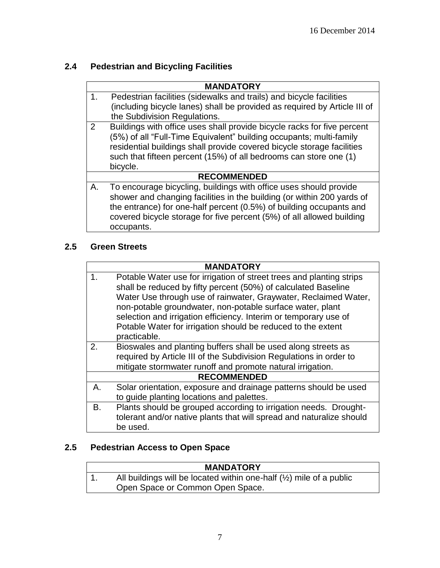# **2.4 Pedestrian and Bicycling Facilities**

|               | <b>MANDATORY</b>                                                                                                                                                                                                                                                                                          |
|---------------|-----------------------------------------------------------------------------------------------------------------------------------------------------------------------------------------------------------------------------------------------------------------------------------------------------------|
| $\mathbf 1$ . | Pedestrian facilities (sidewalks and trails) and bicycle facilities                                                                                                                                                                                                                                       |
|               | (including bicycle lanes) shall be provided as required by Article III of                                                                                                                                                                                                                                 |
|               | the Subdivision Regulations.                                                                                                                                                                                                                                                                              |
| 2             | Buildings with office uses shall provide bicycle racks for five percent<br>(5%) of all "Full-Time Equivalent" building occupants; multi-family<br>residential buildings shall provide covered bicycle storage facilities<br>such that fifteen percent (15%) of all bedrooms can store one (1)<br>bicycle. |
|               | <b>RECOMMENDED</b>                                                                                                                                                                                                                                                                                        |
| Α.            | To encourage bicycling, buildings with office uses should provide<br>shower and changing facilities in the building (or within 200 yards of<br>the entrance) for one-half percent (0.5%) of building occupants and<br>covered bicycle storage for five percent (5%) of all allowed building<br>occupants. |

# **2.5 Green Streets**

ŕ

|    | <b>MANDATORY</b>                                                                                                                                                                                                                                                                                                                                                                                                           |  |  |
|----|----------------------------------------------------------------------------------------------------------------------------------------------------------------------------------------------------------------------------------------------------------------------------------------------------------------------------------------------------------------------------------------------------------------------------|--|--|
| 1. | Potable Water use for irrigation of street trees and planting strips<br>shall be reduced by fifty percent (50%) of calculated Baseline<br>Water Use through use of rainwater, Graywater, Reclaimed Water,<br>non-potable groundwater, non-potable surface water, plant<br>selection and irrigation efficiency. Interim or temporary use of<br>Potable Water for irrigation should be reduced to the extent<br>practicable. |  |  |
| 2. | Bioswales and planting buffers shall be used along streets as<br>required by Article III of the Subdivision Regulations in order to<br>mitigate stormwater runoff and promote natural irrigation.                                                                                                                                                                                                                          |  |  |
|    | <b>RECOMMENDED</b>                                                                                                                                                                                                                                                                                                                                                                                                         |  |  |
| Α. | Solar orientation, exposure and drainage patterns should be used<br>to guide planting locations and palettes.                                                                                                                                                                                                                                                                                                              |  |  |
| В. | Plants should be grouped according to irrigation needs. Drought-<br>tolerant and/or native plants that will spread and naturalize should<br>be used.                                                                                                                                                                                                                                                                       |  |  |

# **2.5 Pedestrian Access to Open Space**

| <b>MANDATORY</b>                                                               |
|--------------------------------------------------------------------------------|
| All buildings will be located within one-half $(\frac{1}{2})$ mile of a public |
| Open Space or Common Open Space.                                               |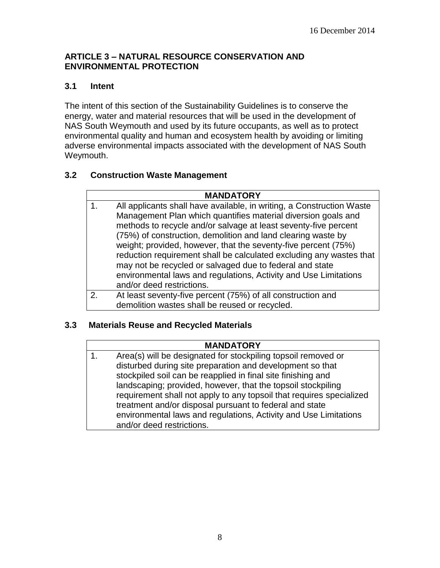### **ARTICLE 3 – NATURAL RESOURCE CONSERVATION AND ENVIRONMENTAL PROTECTION**

## **3.1 Intent**

The intent of this section of the Sustainability Guidelines is to conserve the energy, water and material resources that will be used in the development of NAS South Weymouth and used by its future occupants, as well as to protect environmental quality and human and ecosystem health by avoiding or limiting adverse environmental impacts associated with the development of NAS South Weymouth.

# **3.2 Construction Waste Management**

#### **MANDATORY**

- 1. All applicants shall have available, in writing, a Construction Waste Management Plan which quantifies material diversion goals and methods to recycle and/or salvage at least seventy-five percent (75%) of construction, demolition and land clearing waste by weight; provided, however, that the seventy-five percent (75%) reduction requirement shall be calculated excluding any wastes that may not be recycled or salvaged due to federal and state environmental laws and regulations, Activity and Use Limitations and/or deed restrictions.
- 2. At least seventy-five percent (75%) of all construction and demolition wastes shall be reused or recycled.

### **3.3 Materials Reuse and Recycled Materials**

#### **MANDATORY**

1. Area(s) will be designated for stockpiling topsoil removed or disturbed during site preparation and development so that stockpiled soil can be reapplied in final site finishing and landscaping; provided, however, that the topsoil stockpiling requirement shall not apply to any topsoil that requires specialized treatment and/or disposal pursuant to federal and state environmental laws and regulations, Activity and Use Limitations and/or deed restrictions.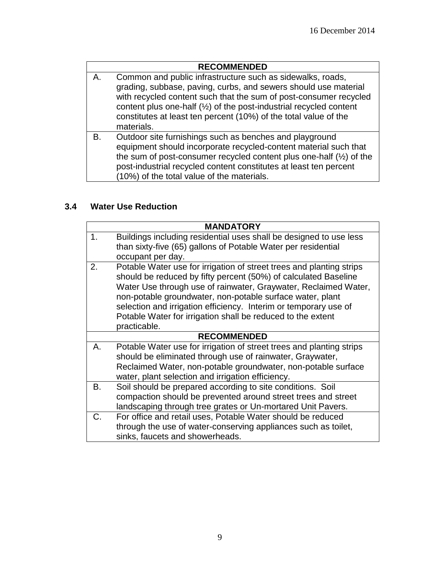|    | <b>RECOMMENDED</b>                                                                                                                                                                                                                                                                                                                                                    |
|----|-----------------------------------------------------------------------------------------------------------------------------------------------------------------------------------------------------------------------------------------------------------------------------------------------------------------------------------------------------------------------|
| А. | Common and public infrastructure such as sidewalks, roads,<br>grading, subbase, paving, curbs, and sewers should use material<br>with recycled content such that the sum of post-consumer recycled<br>content plus one-half $(\frac{1}{2})$ of the post-industrial recycled content<br>constitutes at least ten percent (10%) of the total value of the<br>materials. |
| B. | Outdoor site furnishings such as benches and playground<br>equipment should incorporate recycled-content material such that<br>the sum of post-consumer recycled content plus one-half $(\frac{1}{2})$ of the<br>post-industrial recycled content constitutes at least ten percent<br>(10%) of the total value of the materials.                                      |

# **3.4 Water Use Reduction**

| <b>MANDATORY</b>                                                     |
|----------------------------------------------------------------------|
| Buildings including residential uses shall be designed to use less   |
| than sixty-five (65) gallons of Potable Water per residential        |
| occupant per day.                                                    |
| Potable Water use for irrigation of street trees and planting strips |
| should be reduced by fifty percent (50%) of calculated Baseline      |
| Water Use through use of rainwater, Graywater, Reclaimed Water,      |
| non-potable groundwater, non-potable surface water, plant            |
| selection and irrigation efficiency. Interim or temporary use of     |
| Potable Water for irrigation shall be reduced to the extent          |
| practicable.                                                         |
| <b>RECOMMENDED</b>                                                   |
| Potable Water use for irrigation of street trees and planting strips |
| should be eliminated through use of rainwater, Graywater,            |
| Reclaimed Water, non-potable groundwater, non-potable surface        |
| water, plant selection and irrigation efficiency.                    |
| Soil should be prepared according to site conditions. Soil           |
| compaction should be prevented around street trees and street        |
| landscaping through tree grates or Un-mortared Unit Pavers.          |
| For office and retail uses, Potable Water should be reduced          |
| through the use of water-conserving appliances such as toilet,       |
| sinks, faucets and showerheads.                                      |
|                                                                      |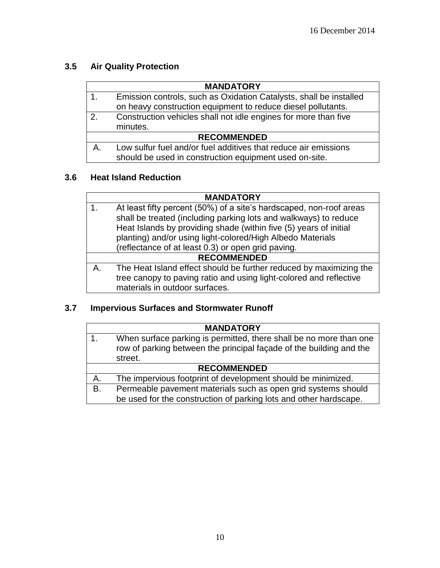# **3.5 Air Quality Protection**

|                    | <b>MANDATORY</b>                                                   |
|--------------------|--------------------------------------------------------------------|
| 1.                 | Emission controls, such as Oxidation Catalysts, shall be installed |
|                    | on heavy construction equipment to reduce diesel pollutants.       |
| 2.                 | Construction vehicles shall not idle engines for more than five    |
|                    | minutes.                                                           |
| <b>RECOMMENDED</b> |                                                                    |
| А                  | Low sulfur fuel and/or fuel additives that reduce air emissions    |
|                    | should be used in construction equipment used on-site.             |

# **3.6 Heat Island Reduction**

|    | <b>MANDATORY</b>                                                    |  |  |
|----|---------------------------------------------------------------------|--|--|
|    | At least fifty percent (50%) of a site's hardscaped, non-roof areas |  |  |
|    | shall be treated (including parking lots and walkways) to reduce    |  |  |
|    | Heat Islands by providing shade (within five (5) years of initial   |  |  |
|    | planting) and/or using light-colored/High Albedo Materials          |  |  |
|    | (reflectance of at least 0.3) or open grid paving.                  |  |  |
|    | <b>RECOMMENDED</b>                                                  |  |  |
| А. | The Heat Island effect should be further reduced by maximizing the  |  |  |
|    | tree canopy to paving ratio and using light-colored and reflective  |  |  |
|    | materials in outdoor surfaces.                                      |  |  |

# **3.7 Impervious Surfaces and Stormwater Runoff**

|                    | <b>MANDATORY</b>                                                                                                                                     |
|--------------------|------------------------------------------------------------------------------------------------------------------------------------------------------|
|                    | When surface parking is permitted, there shall be no more than one<br>row of parking between the principal façade of the building and the<br>street. |
| <b>RECOMMENDED</b> |                                                                                                                                                      |
| A.                 | The impervious footprint of development should be minimized.                                                                                         |
| <b>B.</b>          | Permeable pavement materials such as open grid systems should<br>be used for the construction of parking lots and other hardscape.                   |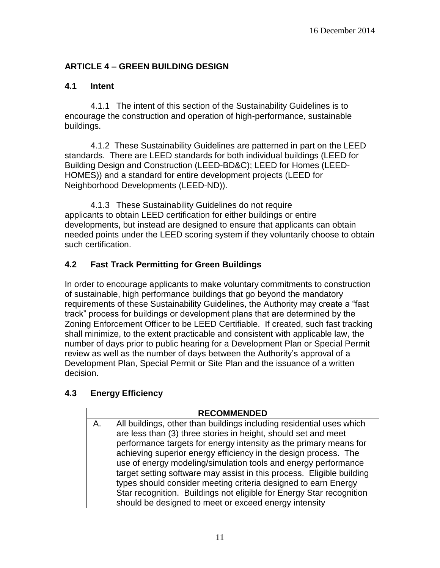# **ARTICLE 4 – GREEN BUILDING DESIGN**

### **4.1 Intent**

4.1.1 The intent of this section of the Sustainability Guidelines is to encourage the construction and operation of high-performance, sustainable buildings.

4.1.2 These Sustainability Guidelines are patterned in part on the LEED standards. There are LEED standards for both individual buildings (LEED for Building Design and Construction (LEED-BD&C); LEED for Homes (LEED-HOMES)) and a standard for entire development projects (LEED for Neighborhood Developments (LEED-ND)).

4.1.3 These Sustainability Guidelines do not require applicants to obtain LEED certification for either buildings or entire developments, but instead are designed to ensure that applicants can obtain needed points under the LEED scoring system if they voluntarily choose to obtain such certification.

# **4.2 Fast Track Permitting for Green Buildings**

In order to encourage applicants to make voluntary commitments to construction of sustainable, high performance buildings that go beyond the mandatory requirements of these Sustainability Guidelines, the Authority may create a "fast track" process for buildings or development plans that are determined by the Zoning Enforcement Officer to be LEED Certifiable. If created, such fast tracking shall minimize, to the extent practicable and consistent with applicable law, the number of days prior to public hearing for a Development Plan or Special Permit review as well as the number of days between the Authority's approval of a Development Plan, Special Permit or Site Plan and the issuance of a written decision.

# **4.3 Energy Efficiency**

### **RECOMMENDED**

A. All buildings, other than buildings including residential uses which are less than (3) three stories in height, should set and meet performance targets for energy intensity as the primary means for achieving superior energy efficiency in the design process. The use of energy modeling/simulation tools and energy performance target setting software may assist in this process. Eligible building types should consider meeting criteria designed to earn Energy Star recognition. Buildings not eligible for Energy Star recognition should be designed to meet or exceed energy intensity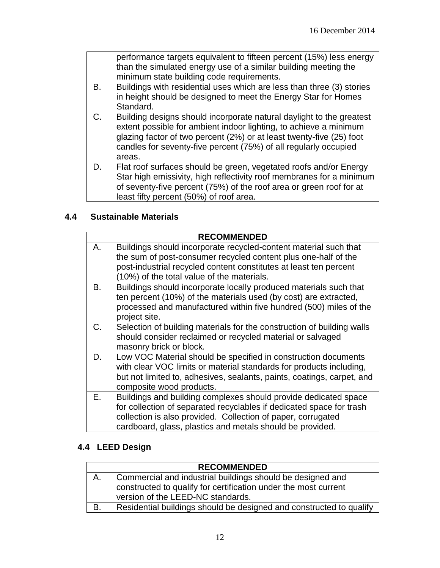|    | performance targets equivalent to fifteen percent (15%) less energy<br>than the simulated energy use of a similar building meeting the<br>minimum state building code requirements.                                                                                                             |
|----|-------------------------------------------------------------------------------------------------------------------------------------------------------------------------------------------------------------------------------------------------------------------------------------------------|
| В. | Buildings with residential uses which are less than three (3) stories<br>in height should be designed to meet the Energy Star for Homes<br>Standard.                                                                                                                                            |
| C. | Building designs should incorporate natural daylight to the greatest<br>extent possible for ambient indoor lighting, to achieve a minimum<br>glazing factor of two percent (2%) or at least twenty-five (25) foot<br>candles for seventy-five percent (75%) of all regularly occupied<br>areas. |
| D. | Flat roof surfaces should be green, vegetated roofs and/or Energy<br>Star high emissivity, high reflectivity roof membranes for a minimum<br>of seventy-five percent (75%) of the roof area or green roof for at<br>least fifty percent (50%) of roof area.                                     |

# **4.4 Sustainable Materials**

|    | <b>RECOMMENDED</b>                                                                                                                                                                                                                                                   |
|----|----------------------------------------------------------------------------------------------------------------------------------------------------------------------------------------------------------------------------------------------------------------------|
| А. | Buildings should incorporate recycled-content material such that<br>the sum of post-consumer recycled content plus one-half of the<br>post-industrial recycled content constitutes at least ten percent<br>(10%) of the total value of the materials.                |
| В. | Buildings should incorporate locally produced materials such that<br>ten percent (10%) of the materials used (by cost) are extracted,<br>processed and manufactured within five hundred (500) miles of the<br>project site.                                          |
| C. | Selection of building materials for the construction of building walls<br>should consider reclaimed or recycled material or salvaged<br>masonry brick or block.                                                                                                      |
| D. | Low VOC Material should be specified in construction documents<br>with clear VOC limits or material standards for products including,<br>but not limited to, adhesives, sealants, paints, coatings, carpet, and<br>composite wood products.                          |
| Е. | Buildings and building complexes should provide dedicated space<br>for collection of separated recyclables if dedicated space for trash<br>collection is also provided. Collection of paper, corrugated<br>cardboard, glass, plastics and metals should be provided. |

# **4.4 LEED Design**

|    | <b>RECOMMENDED</b>                                                  |
|----|---------------------------------------------------------------------|
| Α. | Commercial and industrial buildings should be designed and          |
|    | constructed to qualify for certification under the most current     |
|    | version of the LEED-NC standards.                                   |
| B. | Residential buildings should be designed and constructed to qualify |